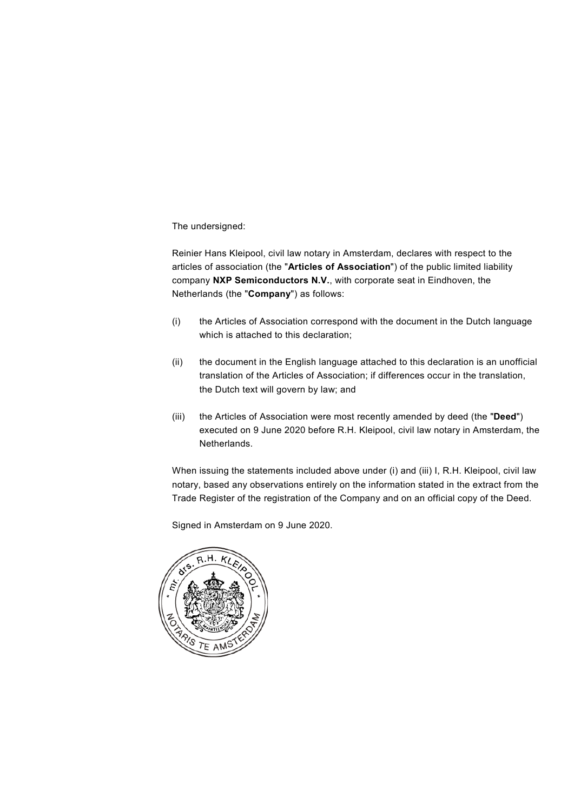The undersigned:

Reinier Hans Kleipool, civil law notary in Amsterdam, declares with respect to the articles of association (the "**Articles of Association**") of the public limited liability company **NXP Semiconductors N.V.**, with corporate seat in Eindhoven, the Netherlands (the "**Company**") as follows:

- (i) the Articles of Association correspond with the document in the Dutch language which is attached to this declaration;
- (ii) the document in the English language attached to this declaration is an unofficial translation of the Articles of Association; if differences occur in the translation, the Dutch text will govern by law; and
- (iii) the Articles of Association were most recently amended by deed (the "**Deed**") executed on 9 June 2020 before R.H. Kleipool, civil law notary in Amsterdam, the Netherlands.

When issuing the statements included above under (i) and (iii) I, R.H. Kleipool, civil law notary, based any observations entirely on the information stated in the extract from the Trade Register of the registration of the Company and on an official copy of the Deed.

Signed in Amsterdam on 9 June 2020.

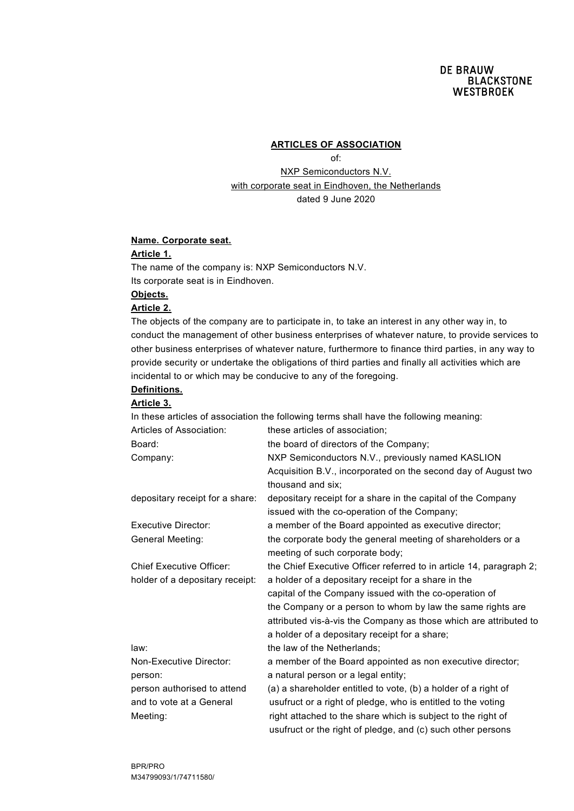#### **ARTICLES OF ASSOCIATION**

of:

NXP Semiconductors N.V. with corporate seat in Eindhoven, the Netherlands dated 9 June 2020

#### **Name. Corporate seat.**

#### **Article 1.**

The name of the company is: NXP Semiconductors N.V. Its corporate seat is in Eindhoven.

# **Objects.**

## **Article 2.**

The objects of the company are to participate in, to take an interest in any other way in, to conduct the management of other business enterprises of whatever nature, to provide services to other business enterprises of whatever nature, furthermore to finance third parties, in any way to provide security or undertake the obligations of third parties and finally all activities which are incidental to or which may be conducive to any of the foregoing.

# **Definitions.**

#### **Article 3.**

In these articles of association the following terms shall have the following meaning: Articles of Association: these articles of association: Board: the board of directors of the Company; Company: NXP Semiconductors N.V., previously named KASLION Acquisition B.V., incorporated on the second day of August two thousand and six; depositary receipt for a share: depositary receipt for a share in the capital of the Company issued with the co-operation of the Company; Executive Director: a member of the Board appointed as executive director; General Meeting: the corporate body the general meeting of shareholders or a meeting of such corporate body; Chief Executive Officer: the Chief Executive Officer referred to in article 14, paragraph 2; holder of a depositary receipt: a holder of a depositary receipt for a share in the capital of the Company issued with the co-operation of the Company or a person to whom by law the same rights are attributed vis-à-vis the Company as those which are attributed to a holder of a depositary receipt for a share; law: law: the law of the Netherlands; Non-Executive Director: a member of the Board appointed as non executive director; person: a natural person or a legal entity: person authorised to attend (a) a shareholder entitled to vote, (b) a holder of a right of and to vote at a General usufruct or a right of pledge, who is entitled to the voting Meeting: right attached to the share which is subject to the right of usufruct or the right of pledge, and (c) such other persons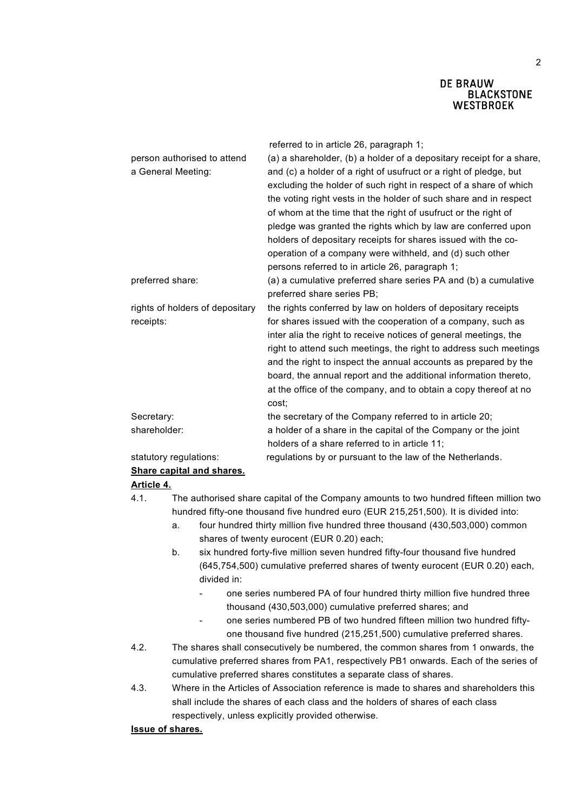|                                 | referred to in article 26, paragraph 1;                              |
|---------------------------------|----------------------------------------------------------------------|
| person authorised to attend     | (a) a shareholder, (b) a holder of a depositary receipt for a share, |
| a General Meeting:              | and (c) a holder of a right of usufruct or a right of pledge, but    |
|                                 | excluding the holder of such right in respect of a share of which    |
|                                 | the voting right vests in the holder of such share and in respect    |
|                                 | of whom at the time that the right of usufruct or the right of       |
|                                 | pledge was granted the rights which by law are conferred upon        |
|                                 | holders of depositary receipts for shares issued with the co-        |
|                                 | operation of a company were withheld, and (d) such other             |
|                                 | persons referred to in article 26, paragraph 1;                      |
| preferred share:                | (a) a cumulative preferred share series PA and (b) a cumulative      |
|                                 | preferred share series PB;                                           |
| rights of holders of depositary | the rights conferred by law on holders of depositary receipts        |
| receipts:                       | for shares issued with the cooperation of a company, such as         |
|                                 | inter alia the right to receive notices of general meetings, the     |
|                                 | right to attend such meetings, the right to address such meetings    |
|                                 | and the right to inspect the annual accounts as prepared by the      |
|                                 | board, the annual report and the additional information thereto,     |
|                                 | at the office of the company, and to obtain a copy thereof at no     |
|                                 | cost;                                                                |
| Secretary:                      | the secretary of the Company referred to in article 20;              |
| shareholder:                    | a holder of a share in the capital of the Company or the joint       |
|                                 | holders of a share referred to in article 11;                        |
| statutory regulations:          | regulations by or pursuant to the law of the Netherlands.            |
| Share capital and shares.       |                                                                      |

### **Article 4.**

- 4.1. The authorised share capital of the Company amounts to two hundred fifteen million two hundred fifty-one thousand five hundred euro (EUR 215,251,500). It is divided into:
	- a. four hundred thirty million five hundred three thousand (430,503,000) common shares of twenty eurocent (EUR 0.20) each;
	- b. six hundred forty-five million seven hundred fifty-four thousand five hundred (645,754,500) cumulative preferred shares of twenty eurocent (EUR 0.20) each, divided in:
		- one series numbered PA of four hundred thirty million five hundred three thousand (430,503,000) cumulative preferred shares; and
		- one series numbered PB of two hundred fifteen million two hundred fiftyone thousand five hundred (215,251,500) cumulative preferred shares.
- 4.2. The shares shall consecutively be numbered, the common shares from 1 onwards, the cumulative preferred shares from PA1, respectively PB1 onwards. Each of the series of cumulative preferred shares constitutes a separate class of shares.
- 4.3. Where in the Articles of Association reference is made to shares and shareholders this shall include the shares of each class and the holders of shares of each class respectively, unless explicitly provided otherwise.

### **Issue of shares.**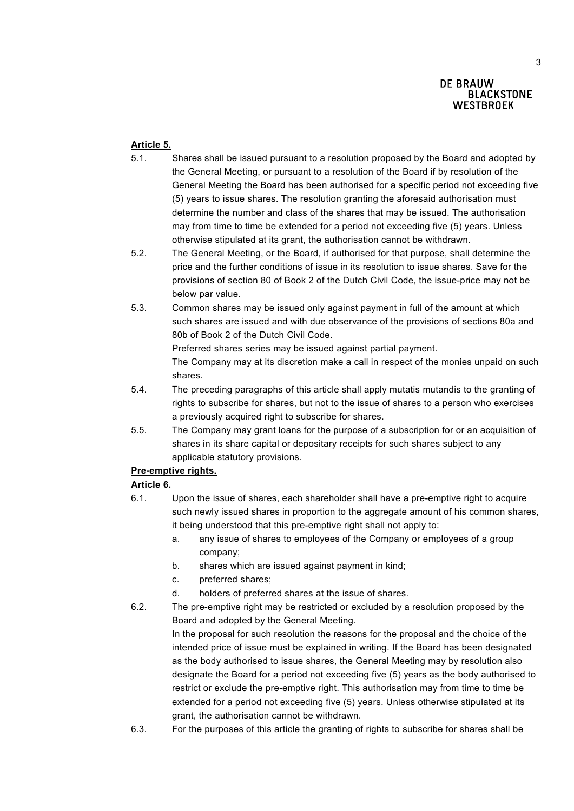# **Article 5.**

- 5.1. Shares shall be issued pursuant to a resolution proposed by the Board and adopted by the General Meeting, or pursuant to a resolution of the Board if by resolution of the General Meeting the Board has been authorised for a specific period not exceeding five (5) years to issue shares. The resolution granting the aforesaid authorisation must determine the number and class of the shares that may be issued. The authorisation may from time to time be extended for a period not exceeding five (5) years. Unless otherwise stipulated at its grant, the authorisation cannot be withdrawn.
- 5.2. The General Meeting, or the Board, if authorised for that purpose, shall determine the price and the further conditions of issue in its resolution to issue shares. Save for the provisions of section 80 of Book 2 of the Dutch Civil Code, the issue-price may not be below par value.
- 5.3. Common shares may be issued only against payment in full of the amount at which such shares are issued and with due observance of the provisions of sections 80a and 80b of Book 2 of the Dutch Civil Code.

Preferred shares series may be issued against partial payment.

The Company may at its discretion make a call in respect of the monies unpaid on such shares.

- 5.4. The preceding paragraphs of this article shall apply mutatis mutandis to the granting of rights to subscribe for shares, but not to the issue of shares to a person who exercises a previously acquired right to subscribe for shares.
- 5.5. The Company may grant loans for the purpose of a subscription for or an acquisition of shares in its share capital or depositary receipts for such shares subject to any applicable statutory provisions.

# **Pre-emptive rights.**

# **Article 6.**

- 6.1. Upon the issue of shares, each shareholder shall have a pre-emptive right to acquire such newly issued shares in proportion to the aggregate amount of his common shares, it being understood that this pre-emptive right shall not apply to:
	- a. any issue of shares to employees of the Company or employees of a group company;
	- b. shares which are issued against payment in kind;
	- c. preferred shares;
	- d. holders of preferred shares at the issue of shares.
- 6.2. The pre-emptive right may be restricted or excluded by a resolution proposed by the Board and adopted by the General Meeting.

In the proposal for such resolution the reasons for the proposal and the choice of the intended price of issue must be explained in writing. If the Board has been designated as the body authorised to issue shares, the General Meeting may by resolution also designate the Board for a period not exceeding five (5) years as the body authorised to restrict or exclude the pre-emptive right. This authorisation may from time to time be extended for a period not exceeding five (5) years. Unless otherwise stipulated at its grant, the authorisation cannot be withdrawn.

6.3. For the purposes of this article the granting of rights to subscribe for shares shall be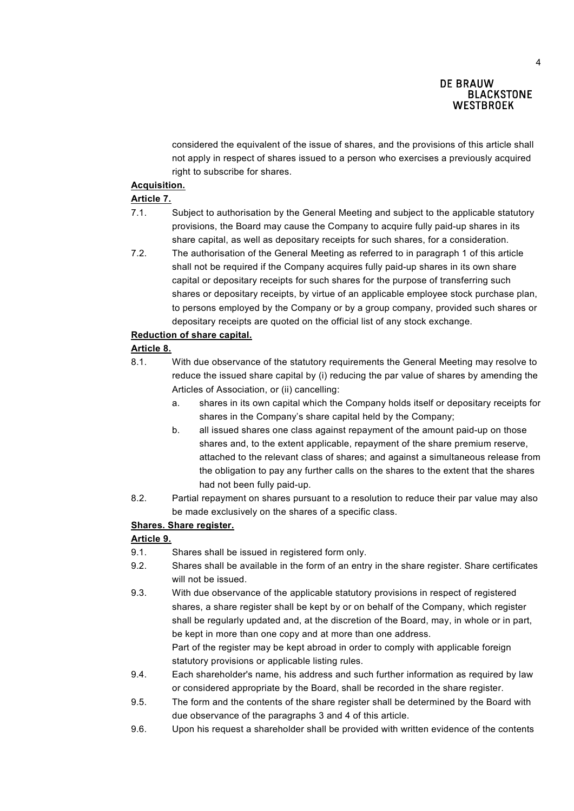considered the equivalent of the issue of shares, and the provisions of this article shall not apply in respect of shares issued to a person who exercises a previously acquired right to subscribe for shares.

### **Acquisition.**

### **Article 7.**

- 7.1. Subject to authorisation by the General Meeting and subject to the applicable statutory provisions, the Board may cause the Company to acquire fully paid-up shares in its share capital, as well as depositary receipts for such shares, for a consideration.
- 7.2. The authorisation of the General Meeting as referred to in paragraph 1 of this article shall not be required if the Company acquires fully paid-up shares in its own share capital or depositary receipts for such shares for the purpose of transferring such shares or depositary receipts, by virtue of an applicable employee stock purchase plan, to persons employed by the Company or by a group company, provided such shares or depositary receipts are quoted on the official list of any stock exchange.

# **Reduction of share capital.**

### **Article 8.**

- 8.1. With due observance of the statutory requirements the General Meeting may resolve to reduce the issued share capital by (i) reducing the par value of shares by amending the Articles of Association, or (ii) cancelling:
	- a. shares in its own capital which the Company holds itself or depositary receipts for shares in the Company's share capital held by the Company;
	- b. all issued shares one class against repayment of the amount paid-up on those shares and, to the extent applicable, repayment of the share premium reserve, attached to the relevant class of shares; and against a simultaneous release from the obligation to pay any further calls on the shares to the extent that the shares had not been fully paid-up.
- 8.2. Partial repayment on shares pursuant to a resolution to reduce their par value may also be made exclusively on the shares of a specific class.

### **Shares. Share register.**

### **Article 9.**

- 9.1. Shares shall be issued in registered form only.
- 9.2. Shares shall be available in the form of an entry in the share register. Share certificates will not be issued.
- 9.3. With due observance of the applicable statutory provisions in respect of registered shares, a share register shall be kept by or on behalf of the Company, which register shall be regularly updated and, at the discretion of the Board, may, in whole or in part, be kept in more than one copy and at more than one address. Part of the register may be kept abroad in order to comply with applicable foreign

statutory provisions or applicable listing rules.

- 9.4. Each shareholder's name, his address and such further information as required by law or considered appropriate by the Board, shall be recorded in the share register.
- 9.5. The form and the contents of the share register shall be determined by the Board with due observance of the paragraphs 3 and 4 of this article.
- 9.6. Upon his request a shareholder shall be provided with written evidence of the contents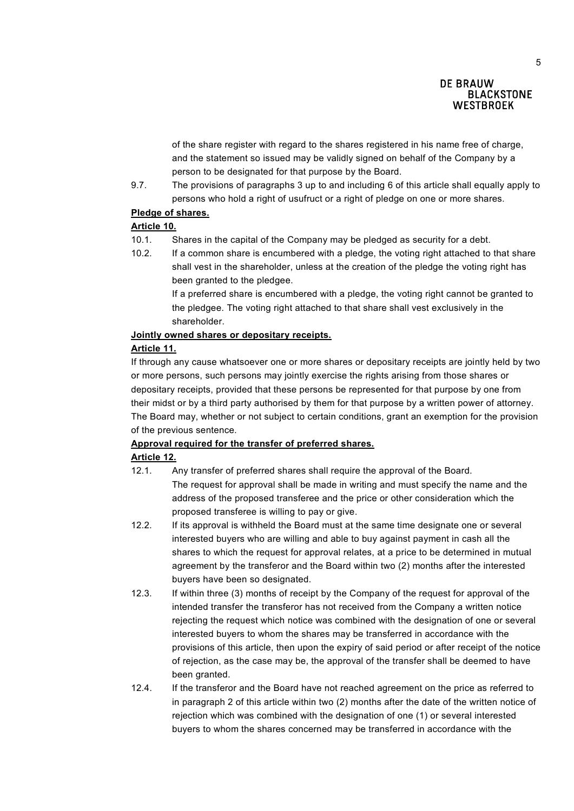of the share register with regard to the shares registered in his name free of charge, and the statement so issued may be validly signed on behalf of the Company by a person to be designated for that purpose by the Board.

9.7. The provisions of paragraphs 3 up to and including 6 of this article shall equally apply to persons who hold a right of usufruct or a right of pledge on one or more shares.

### **Pledge of shares.**

# **Article 10.**

- 10.1. Shares in the capital of the Company may be pledged as security for a debt.
- 10.2. If a common share is encumbered with a pledge, the voting right attached to that share shall vest in the shareholder, unless at the creation of the pledge the voting right has been granted to the pledgee.

If a preferred share is encumbered with a pledge, the voting right cannot be granted to the pledgee. The voting right attached to that share shall vest exclusively in the shareholder.

### **Jointly owned shares or depositary receipts.**

#### **Article 11.**

If through any cause whatsoever one or more shares or depositary receipts are jointly held by two or more persons, such persons may jointly exercise the rights arising from those shares or depositary receipts, provided that these persons be represented for that purpose by one from their midst or by a third party authorised by them for that purpose by a written power of attorney. The Board may, whether or not subject to certain conditions, grant an exemption for the provision of the previous sentence.

### **Approval required for the transfer of preferred shares.**

### **Article 12.**

- 12.1. Any transfer of preferred shares shall require the approval of the Board. The request for approval shall be made in writing and must specify the name and the address of the proposed transferee and the price or other consideration which the proposed transferee is willing to pay or give.
- 12.2. If its approval is withheld the Board must at the same time designate one or several interested buyers who are willing and able to buy against payment in cash all the shares to which the request for approval relates, at a price to be determined in mutual agreement by the transferor and the Board within two (2) months after the interested buyers have been so designated.
- 12.3. If within three (3) months of receipt by the Company of the request for approval of the intended transfer the transferor has not received from the Company a written notice rejecting the request which notice was combined with the designation of one or several interested buyers to whom the shares may be transferred in accordance with the provisions of this article, then upon the expiry of said period or after receipt of the notice of rejection, as the case may be, the approval of the transfer shall be deemed to have been granted.
- 12.4. If the transferor and the Board have not reached agreement on the price as referred to in paragraph 2 of this article within two (2) months after the date of the written notice of rejection which was combined with the designation of one (1) or several interested buyers to whom the shares concerned may be transferred in accordance with the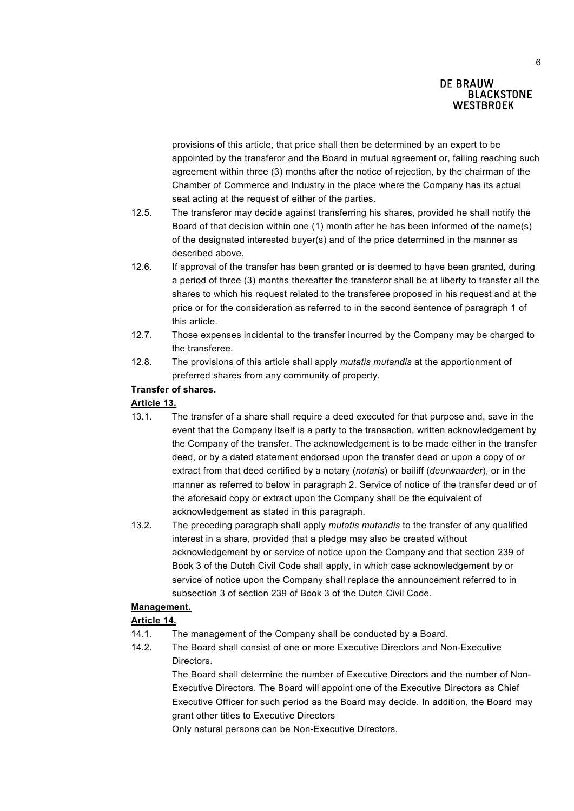provisions of this article, that price shall then be determined by an expert to be appointed by the transferor and the Board in mutual agreement or, failing reaching such agreement within three (3) months after the notice of rejection, by the chairman of the Chamber of Commerce and Industry in the place where the Company has its actual seat acting at the request of either of the parties.

- 12.5. The transferor may decide against transferring his shares, provided he shall notify the Board of that decision within one (1) month after he has been informed of the name(s) of the designated interested buyer(s) and of the price determined in the manner as described above.
- 12.6. If approval of the transfer has been granted or is deemed to have been granted, during a period of three (3) months thereafter the transferor shall be at liberty to transfer all the shares to which his request related to the transferee proposed in his request and at the price or for the consideration as referred to in the second sentence of paragraph 1 of this article.
- 12.7. Those expenses incidental to the transfer incurred by the Company may be charged to the transferee.
- 12.8. The provisions of this article shall apply *mutatis mutandis* at the apportionment of preferred shares from any community of property.

# **Transfer of shares.**

### **Article 13.**

- 13.1. The transfer of a share shall require a deed executed for that purpose and, save in the event that the Company itself is a party to the transaction, written acknowledgement by the Company of the transfer. The acknowledgement is to be made either in the transfer deed, or by a dated statement endorsed upon the transfer deed or upon a copy of or extract from that deed certified by a notary (*notaris*) or bailiff (*deurwaarder*), or in the manner as referred to below in paragraph 2. Service of notice of the transfer deed or of the aforesaid copy or extract upon the Company shall be the equivalent of acknowledgement as stated in this paragraph.
- 13.2. The preceding paragraph shall apply *mutatis mutandis* to the transfer of any qualified interest in a share, provided that a pledge may also be created without acknowledgement by or service of notice upon the Company and that section 239 of Book 3 of the Dutch Civil Code shall apply, in which case acknowledgement by or service of notice upon the Company shall replace the announcement referred to in subsection 3 of section 239 of Book 3 of the Dutch Civil Code.

# **Management.**

# **Article 14.**

- 14.1. The management of the Company shall be conducted by a Board.
- 14.2. The Board shall consist of one or more Executive Directors and Non-Executive **Directors**

The Board shall determine the number of Executive Directors and the number of Non-Executive Directors. The Board will appoint one of the Executive Directors as Chief Executive Officer for such period as the Board may decide. In addition, the Board may grant other titles to Executive Directors

Only natural persons can be Non-Executive Directors.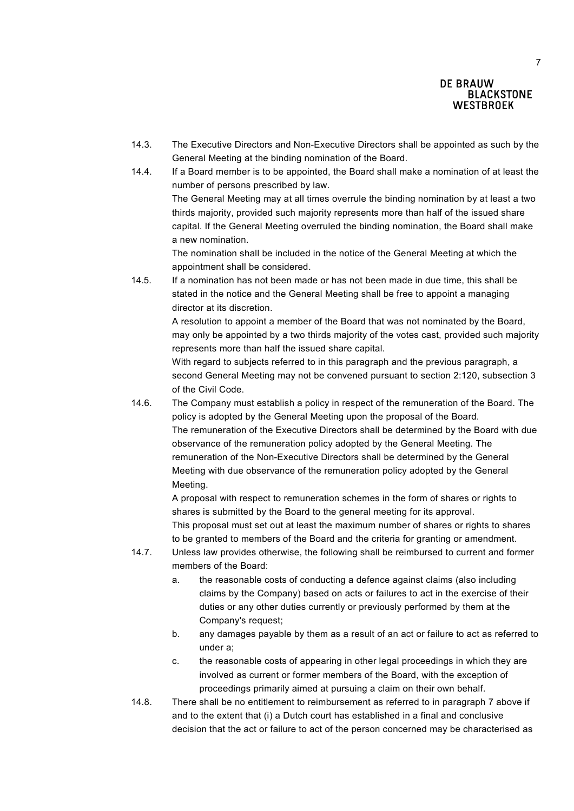- 14.3. The Executive Directors and Non-Executive Directors shall be appointed as such by the General Meeting at the binding nomination of the Board.
- 14.4. If a Board member is to be appointed, the Board shall make a nomination of at least the number of persons prescribed by law.

The General Meeting may at all times overrule the binding nomination by at least a two thirds majority, provided such majority represents more than half of the issued share capital. If the General Meeting overruled the binding nomination, the Board shall make a new nomination.

The nomination shall be included in the notice of the General Meeting at which the appointment shall be considered.

14.5. If a nomination has not been made or has not been made in due time, this shall be stated in the notice and the General Meeting shall be free to appoint a managing director at its discretion.

> A resolution to appoint a member of the Board that was not nominated by the Board, may only be appointed by a two thirds majority of the votes cast, provided such majority represents more than half the issued share capital.

> With regard to subjects referred to in this paragraph and the previous paragraph, a second General Meeting may not be convened pursuant to section 2:120, subsection 3 of the Civil Code.

14.6. The Company must establish a policy in respect of the remuneration of the Board. The policy is adopted by the General Meeting upon the proposal of the Board. The remuneration of the Executive Directors shall be determined by the Board with due observance of the remuneration policy adopted by the General Meeting. The remuneration of the Non-Executive Directors shall be determined by the General Meeting with due observance of the remuneration policy adopted by the General Meeting.

> A proposal with respect to remuneration schemes in the form of shares or rights to shares is submitted by the Board to the general meeting for its approval. This proposal must set out at least the maximum number of shares or rights to shares to be granted to members of the Board and the criteria for granting or amendment.

- 14.7. Unless law provides otherwise, the following shall be reimbursed to current and former members of the Board:
	- a. the reasonable costs of conducting a defence against claims (also including claims by the Company) based on acts or failures to act in the exercise of their duties or any other duties currently or previously performed by them at the Company's request;
	- b. any damages payable by them as a result of an act or failure to act as referred to under a;
	- c. the reasonable costs of appearing in other legal proceedings in which they are involved as current or former members of the Board, with the exception of proceedings primarily aimed at pursuing a claim on their own behalf.
- 14.8. There shall be no entitlement to reimbursement as referred to in paragraph 7 above if and to the extent that (i) a Dutch court has established in a final and conclusive decision that the act or failure to act of the person concerned may be characterised as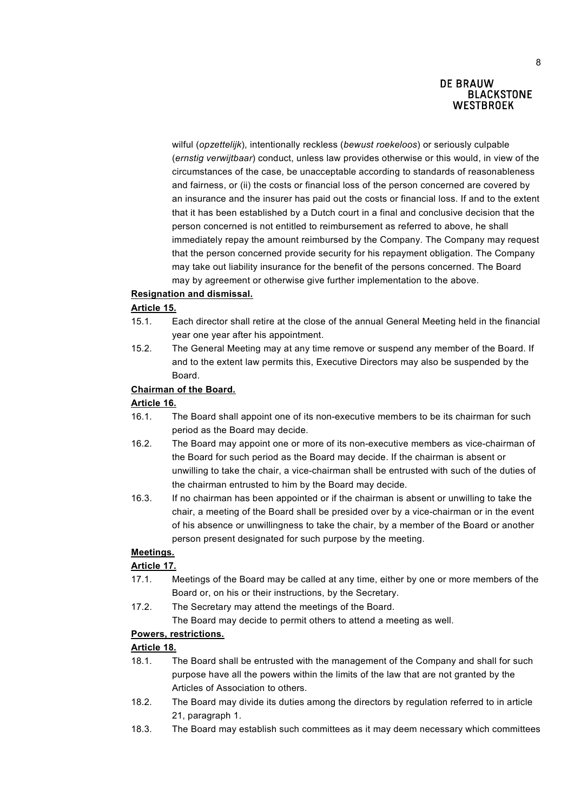wilful (*opzettelijk*), intentionally reckless (*bewust roekeloos*) or seriously culpable (*ernstig verwijtbaar*) conduct, unless law provides otherwise or this would, in view of the circumstances of the case, be unacceptable according to standards of reasonableness and fairness, or (ii) the costs or financial loss of the person concerned are covered by an insurance and the insurer has paid out the costs or financial loss. If and to the extent that it has been established by a Dutch court in a final and conclusive decision that the person concerned is not entitled to reimbursement as referred to above, he shall immediately repay the amount reimbursed by the Company. The Company may request that the person concerned provide security for his repayment obligation. The Company may take out liability insurance for the benefit of the persons concerned. The Board may by agreement or otherwise give further implementation to the above.

### **Resignation and dismissal.**

### **Article 15.**

- 15.1. Each director shall retire at the close of the annual General Meeting held in the financial year one year after his appointment.
- 15.2. The General Meeting may at any time remove or suspend any member of the Board. If and to the extent law permits this, Executive Directors may also be suspended by the Board.

#### **Chairman of the Board.**

#### **Article 16.**

- 16.1. The Board shall appoint one of its non-executive members to be its chairman for such period as the Board may decide.
- 16.2. The Board may appoint one or more of its non-executive members as vice-chairman of the Board for such period as the Board may decide. If the chairman is absent or unwilling to take the chair, a vice-chairman shall be entrusted with such of the duties of the chairman entrusted to him by the Board may decide.
- 16.3. If no chairman has been appointed or if the chairman is absent or unwilling to take the chair, a meeting of the Board shall be presided over by a vice-chairman or in the event of his absence or unwillingness to take the chair, by a member of the Board or another person present designated for such purpose by the meeting.

### **Meetings.**

### **Article 17.**

- 17.1. Meetings of the Board may be called at any time, either by one or more members of the Board or, on his or their instructions, by the Secretary.
- 17.2. The Secretary may attend the meetings of the Board.

The Board may decide to permit others to attend a meeting as well.

# **Powers, restrictions.**

# **Article 18.**

- 18.1. The Board shall be entrusted with the management of the Company and shall for such purpose have all the powers within the limits of the law that are not granted by the Articles of Association to others.
- 18.2. The Board may divide its duties among the directors by regulation referred to in article 21, paragraph 1.
- 18.3. The Board may establish such committees as it may deem necessary which committees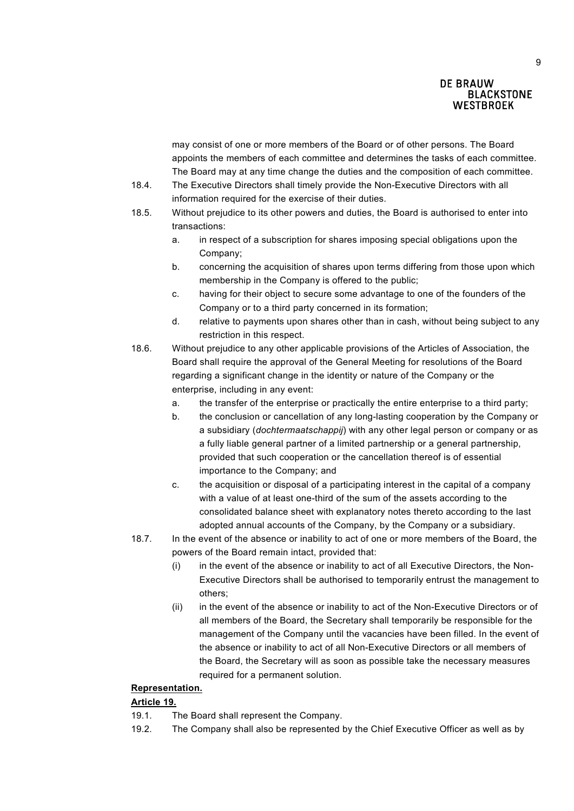may consist of one or more members of the Board or of other persons. The Board appoints the members of each committee and determines the tasks of each committee. The Board may at any time change the duties and the composition of each committee.

- 18.4. The Executive Directors shall timely provide the Non-Executive Directors with all information required for the exercise of their duties.
- 18.5. Without prejudice to its other powers and duties, the Board is authorised to enter into transactions:
	- a. in respect of a subscription for shares imposing special obligations upon the Company;
	- b. concerning the acquisition of shares upon terms differing from those upon which membership in the Company is offered to the public;
	- c. having for their object to secure some advantage to one of the founders of the Company or to a third party concerned in its formation;
	- d. relative to payments upon shares other than in cash, without being subject to any restriction in this respect.
- 18.6. Without prejudice to any other applicable provisions of the Articles of Association, the Board shall require the approval of the General Meeting for resolutions of the Board regarding a significant change in the identity or nature of the Company or the enterprise, including in any event:
	- a. the transfer of the enterprise or practically the entire enterprise to a third party;
	- b. the conclusion or cancellation of any long-lasting cooperation by the Company or a subsidiary (*dochtermaatschappij*) with any other legal person or company or as a fully liable general partner of a limited partnership or a general partnership, provided that such cooperation or the cancellation thereof is of essential importance to the Company; and
	- c. the acquisition or disposal of a participating interest in the capital of a company with a value of at least one-third of the sum of the assets according to the consolidated balance sheet with explanatory notes thereto according to the last adopted annual accounts of the Company, by the Company or a subsidiary.
- 18.7. In the event of the absence or inability to act of one or more members of the Board, the powers of the Board remain intact, provided that:
	- (i) in the event of the absence or inability to act of all Executive Directors, the Non-Executive Directors shall be authorised to temporarily entrust the management to others;
	- (ii) in the event of the absence or inability to act of the Non-Executive Directors or of all members of the Board, the Secretary shall temporarily be responsible for the management of the Company until the vacancies have been filled. In the event of the absence or inability to act of all Non-Executive Directors or all members of the Board, the Secretary will as soon as possible take the necessary measures required for a permanent solution.

## **Representation.**

### **Article 19.**

- 19.1. The Board shall represent the Company.
- 19.2. The Company shall also be represented by the Chief Executive Officer as well as by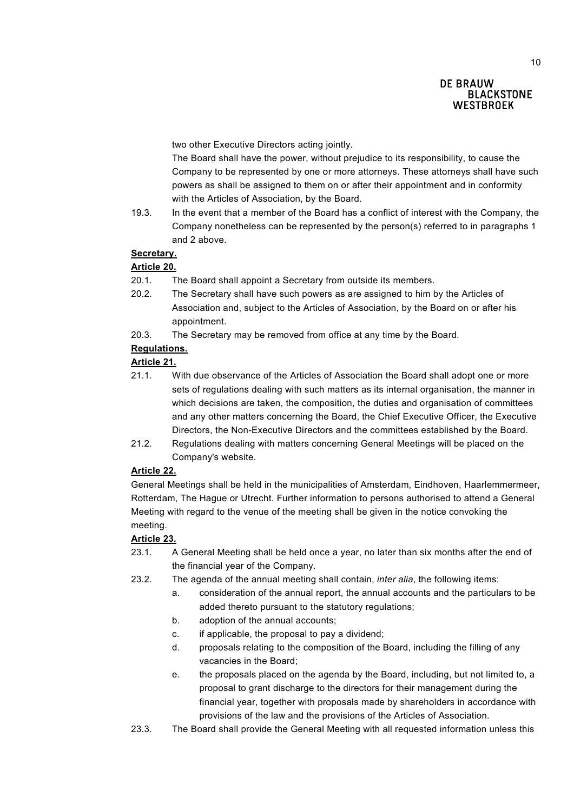two other Executive Directors acting jointly.

The Board shall have the power, without prejudice to its responsibility, to cause the Company to be represented by one or more attorneys. These attorneys shall have such powers as shall be assigned to them on or after their appointment and in conformity with the Articles of Association, by the Board.

19.3. In the event that a member of the Board has a conflict of interest with the Company, the Company nonetheless can be represented by the person(s) referred to in paragraphs 1 and 2 above.

# **Secretary.**

# **Article 20.**

- 20.1. The Board shall appoint a Secretary from outside its members.
- 20.2. The Secretary shall have such powers as are assigned to him by the Articles of Association and, subject to the Articles of Association, by the Board on or after his appointment.
- 20.3. The Secretary may be removed from office at any time by the Board.

# **Regulations.**

# **Article 21.**

- 21.1. With due observance of the Articles of Association the Board shall adopt one or more sets of regulations dealing with such matters as its internal organisation, the manner in which decisions are taken, the composition, the duties and organisation of committees and any other matters concerning the Board, the Chief Executive Officer, the Executive Directors, the Non-Executive Directors and the committees established by the Board.
- 21.2. Regulations dealing with matters concerning General Meetings will be placed on the Company's website.

### **Article 22.**

General Meetings shall be held in the municipalities of Amsterdam, Eindhoven, Haarlemmermeer, Rotterdam, The Hague or Utrecht. Further information to persons authorised to attend a General Meeting with regard to the venue of the meeting shall be given in the notice convoking the meeting.

### **Article 23.**

- 23.1. A General Meeting shall be held once a year, no later than six months after the end of the financial year of the Company.
- 23.2. The agenda of the annual meeting shall contain, *inter alia*, the following items:
	- a. consideration of the annual report, the annual accounts and the particulars to be added thereto pursuant to the statutory regulations;
	- b. adoption of the annual accounts;
	- c. if applicable, the proposal to pay a dividend;
	- d. proposals relating to the composition of the Board, including the filling of any vacancies in the Board;
	- e. the proposals placed on the agenda by the Board, including, but not limited to, a proposal to grant discharge to the directors for their management during the financial year, together with proposals made by shareholders in accordance with provisions of the law and the provisions of the Articles of Association.
- 23.3. The Board shall provide the General Meeting with all requested information unless this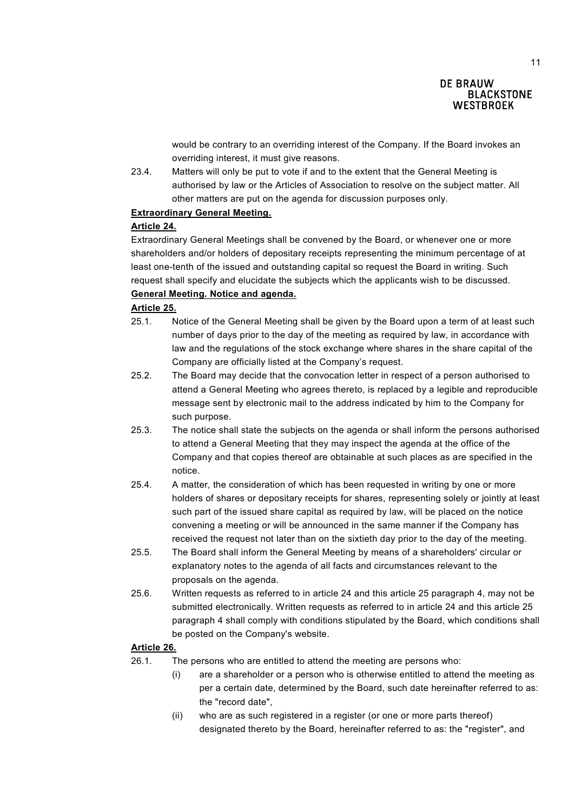would be contrary to an overriding interest of the Company. If the Board invokes an overriding interest, it must give reasons.

23.4. Matters will only be put to vote if and to the extent that the General Meeting is authorised by law or the Articles of Association to resolve on the subject matter. All other matters are put on the agenda for discussion purposes only.

### **Extraordinary General Meeting.**

### **Article 24.**

Extraordinary General Meetings shall be convened by the Board, or whenever one or more shareholders and/or holders of depositary receipts representing the minimum percentage of at least one-tenth of the issued and outstanding capital so request the Board in writing. Such request shall specify and elucidate the subjects which the applicants wish to be discussed.

# **General Meeting. Notice and agenda.**

# **Article 25.**

- 25.1. Notice of the General Meeting shall be given by the Board upon a term of at least such number of days prior to the day of the meeting as required by law, in accordance with law and the regulations of the stock exchange where shares in the share capital of the Company are officially listed at the Company's request.
- 25.2. The Board may decide that the convocation letter in respect of a person authorised to attend a General Meeting who agrees thereto, is replaced by a legible and reproducible message sent by electronic mail to the address indicated by him to the Company for such purpose.
- 25.3. The notice shall state the subjects on the agenda or shall inform the persons authorised to attend a General Meeting that they may inspect the agenda at the office of the Company and that copies thereof are obtainable at such places as are specified in the notice.
- 25.4. A matter, the consideration of which has been requested in writing by one or more holders of shares or depositary receipts for shares, representing solely or jointly at least such part of the issued share capital as required by law, will be placed on the notice convening a meeting or will be announced in the same manner if the Company has received the request not later than on the sixtieth day prior to the day of the meeting.
- 25.5. The Board shall inform the General Meeting by means of a shareholders' circular or explanatory notes to the agenda of all facts and circumstances relevant to the proposals on the agenda.
- 25.6. Written requests as referred to in article 24 and this article 25 paragraph 4, may not be submitted electronically. Written requests as referred to in article 24 and this article 25 paragraph 4 shall comply with conditions stipulated by the Board, which conditions shall be posted on the Company's website.

# **Article 26.**

- 26.1. The persons who are entitled to attend the meeting are persons who:
	- (i) are a shareholder or a person who is otherwise entitled to attend the meeting as per a certain date, determined by the Board, such date hereinafter referred to as: the "record date",
	- (ii) who are as such registered in a register (or one or more parts thereof) designated thereto by the Board, hereinafter referred to as: the "register", and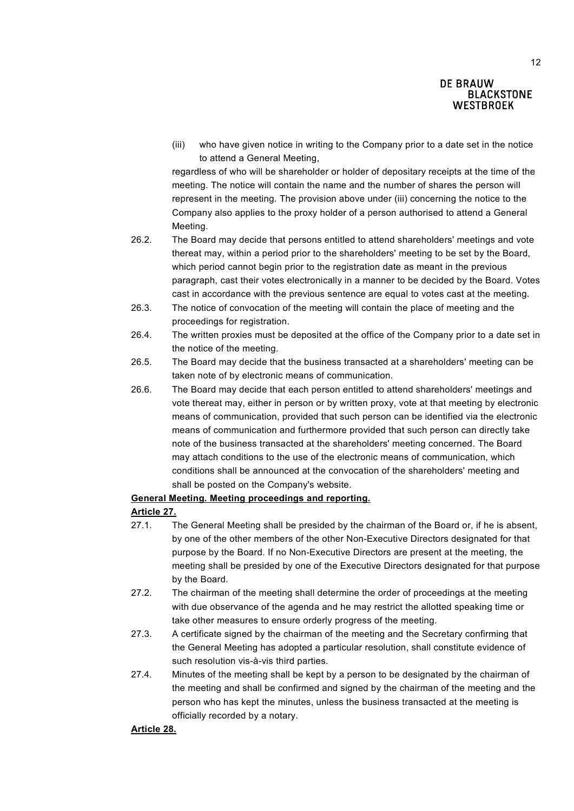(iii) who have given notice in writing to the Company prior to a date set in the notice to attend a General Meeting,

regardless of who will be shareholder or holder of depositary receipts at the time of the meeting. The notice will contain the name and the number of shares the person will represent in the meeting. The provision above under (iii) concerning the notice to the Company also applies to the proxy holder of a person authorised to attend a General Meeting.

- 26.2. The Board may decide that persons entitled to attend shareholders' meetings and vote thereat may, within a period prior to the shareholders' meeting to be set by the Board, which period cannot begin prior to the registration date as meant in the previous paragraph, cast their votes electronically in a manner to be decided by the Board. Votes cast in accordance with the previous sentence are equal to votes cast at the meeting.
- 26.3. The notice of convocation of the meeting will contain the place of meeting and the proceedings for registration.
- 26.4. The written proxies must be deposited at the office of the Company prior to a date set in the notice of the meeting.
- 26.5. The Board may decide that the business transacted at a shareholders' meeting can be taken note of by electronic means of communication*.*
- 26.6. The Board may decide that each person entitled to attend shareholders' meetings and vote thereat may, either in person or by written proxy, vote at that meeting by electronic means of communication, provided that such person can be identified via the electronic means of communication and furthermore provided that such person can directly take note of the business transacted at the shareholders' meeting concerned. The Board may attach conditions to the use of the electronic means of communication, which conditions shall be announced at the convocation of the shareholders' meeting and shall be posted on the Company's website.

### **General Meeting. Meeting proceedings and reporting.**

### **Article 27.**

- 27.1. The General Meeting shall be presided by the chairman of the Board or, if he is absent, by one of the other members of the other Non-Executive Directors designated for that purpose by the Board. If no Non-Executive Directors are present at the meeting, the meeting shall be presided by one of the Executive Directors designated for that purpose by the Board.
- 27.2. The chairman of the meeting shall determine the order of proceedings at the meeting with due observance of the agenda and he may restrict the allotted speaking time or take other measures to ensure orderly progress of the meeting.
- 27.3. A certificate signed by the chairman of the meeting and the Secretary confirming that the General Meeting has adopted a particular resolution, shall constitute evidence of such resolution vis-à-vis third parties.
- 27.4. Minutes of the meeting shall be kept by a person to be designated by the chairman of the meeting and shall be confirmed and signed by the chairman of the meeting and the person who has kept the minutes, unless the business transacted at the meeting is officially recorded by a notary.

### **Article 28.**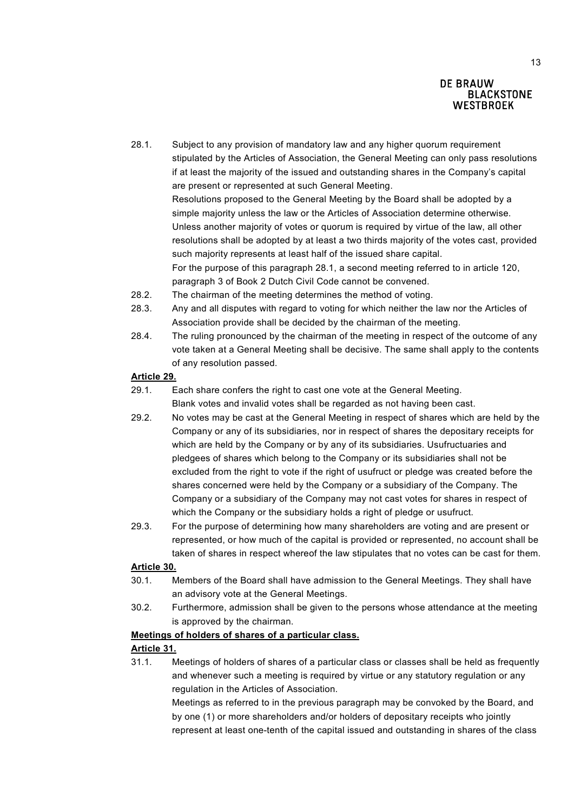- 28.1. Subject to any provision of mandatory law and any higher quorum requirement stipulated by the Articles of Association, the General Meeting can only pass resolutions if at least the majority of the issued and outstanding shares in the Company's capital are present or represented at such General Meeting. Resolutions proposed to the General Meeting by the Board shall be adopted by a simple majority unless the law or the Articles of Association determine otherwise. Unless another majority of votes or quorum is required by virtue of the law, all other resolutions shall be adopted by at least a two thirds majority of the votes cast, provided such majority represents at least half of the issued share capital. For the purpose of this paragraph 28.1, a second meeting referred to in article 120, paragraph 3 of Book 2 Dutch Civil Code cannot be convened.
- 28.2. The chairman of the meeting determines the method of voting.
- 28.3. Any and all disputes with regard to voting for which neither the law nor the Articles of Association provide shall be decided by the chairman of the meeting.
- 28.4. The ruling pronounced by the chairman of the meeting in respect of the outcome of any vote taken at a General Meeting shall be decisive. The same shall apply to the contents of any resolution passed.

### **Article 29.**

- 29.1. Each share confers the right to cast one vote at the General Meeting. Blank votes and invalid votes shall be regarded as not having been cast.
- 29.2. No votes may be cast at the General Meeting in respect of shares which are held by the Company or any of its subsidiaries, nor in respect of shares the depositary receipts for which are held by the Company or by any of its subsidiaries. Usufructuaries and pledgees of shares which belong to the Company or its subsidiaries shall not be excluded from the right to vote if the right of usufruct or pledge was created before the shares concerned were held by the Company or a subsidiary of the Company. The Company or a subsidiary of the Company may not cast votes for shares in respect of which the Company or the subsidiary holds a right of pledge or usufruct.
- 29.3. For the purpose of determining how many shareholders are voting and are present or represented, or how much of the capital is provided or represented, no account shall be taken of shares in respect whereof the law stipulates that no votes can be cast for them.

#### **Article 30.**

- 30.1. Members of the Board shall have admission to the General Meetings. They shall have an advisory vote at the General Meetings.
- 30.2. Furthermore, admission shall be given to the persons whose attendance at the meeting is approved by the chairman.

#### **Meetings of holders of shares of a particular class.**

# **Article 31.**

31.1. Meetings of holders of shares of a particular class or classes shall be held as frequently and whenever such a meeting is required by virtue or any statutory regulation or any regulation in the Articles of Association.

> Meetings as referred to in the previous paragraph may be convoked by the Board, and by one (1) or more shareholders and/or holders of depositary receipts who jointly represent at least one-tenth of the capital issued and outstanding in shares of the class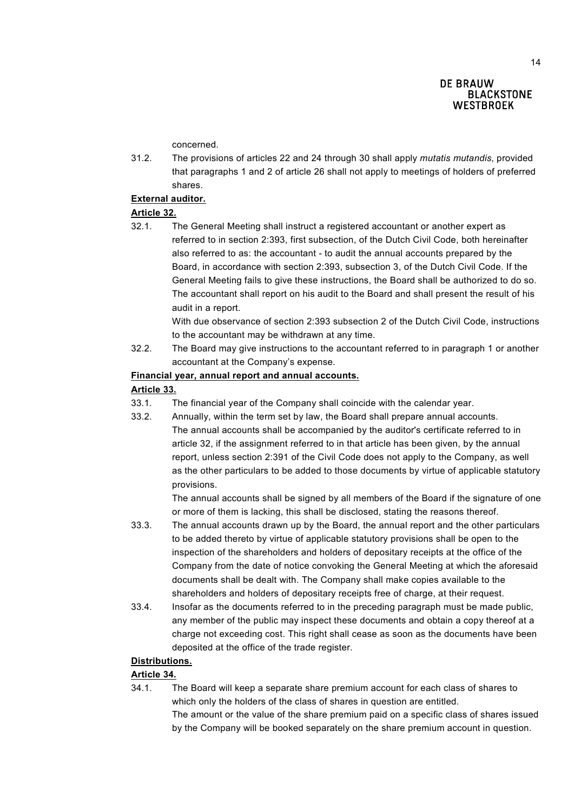concerned.

31.2. The provisions of articles 22 and 24 through 30 shall apply *mutatis mutandis*, provided that paragraphs 1 and 2 of article 26 shall not apply to meetings of holders of preferred shares.

### **External auditor.**

### **Article 32.**

32.1. The General Meeting shall instruct a registered accountant or another expert as referred to in section 2:393, first subsection, of the Dutch Civil Code, both hereinafter also referred to as: the accountant - to audit the annual accounts prepared by the Board, in accordance with section 2:393, subsection 3, of the Dutch Civil Code. If the General Meeting fails to give these instructions, the Board shall be authorized to do so. The accountant shall report on his audit to the Board and shall present the result of his audit in a report.

With due observance of section 2:393 subsection 2 of the Dutch Civil Code, instructions to the accountant may be withdrawn at any time.

32.2. The Board may give instructions to the accountant referred to in paragraph 1 or another accountant at the Company's expense.

#### **Financial year, annual report and annual accounts.**

#### **Article 33.**

- 33.1. The financial year of the Company shall coincide with the calendar year.
- 33.2. Annually, within the term set by law, the Board shall prepare annual accounts.
	- The annual accounts shall be accompanied by the auditor's certificate referred to in article 32, if the assignment referred to in that article has been given, by the annual report, unless section 2:391 of the Civil Code does not apply to the Company, as well as the other particulars to be added to those documents by virtue of applicable statutory provisions.

The annual accounts shall be signed by all members of the Board if the signature of one or more of them is lacking, this shall be disclosed, stating the reasons thereof.

- 33.3. The annual accounts drawn up by the Board, the annual report and the other particulars to be added thereto by virtue of applicable statutory provisions shall be open to the inspection of the shareholders and holders of depositary receipts at the office of the Company from the date of notice convoking the General Meeting at which the aforesaid documents shall be dealt with. The Company shall make copies available to the shareholders and holders of depositary receipts free of charge, at their request.
- 33.4. Insofar as the documents referred to in the preceding paragraph must be made public, any member of the public may inspect these documents and obtain a copy thereof at a charge not exceeding cost. This right shall cease as soon as the documents have been deposited at the office of the trade register.

### **Distributions.**

### **Article 34.**

34.1. The Board will keep a separate share premium account for each class of shares to which only the holders of the class of shares in question are entitled. The amount or the value of the share premium paid on a specific class of shares issued by the Company will be booked separately on the share premium account in question.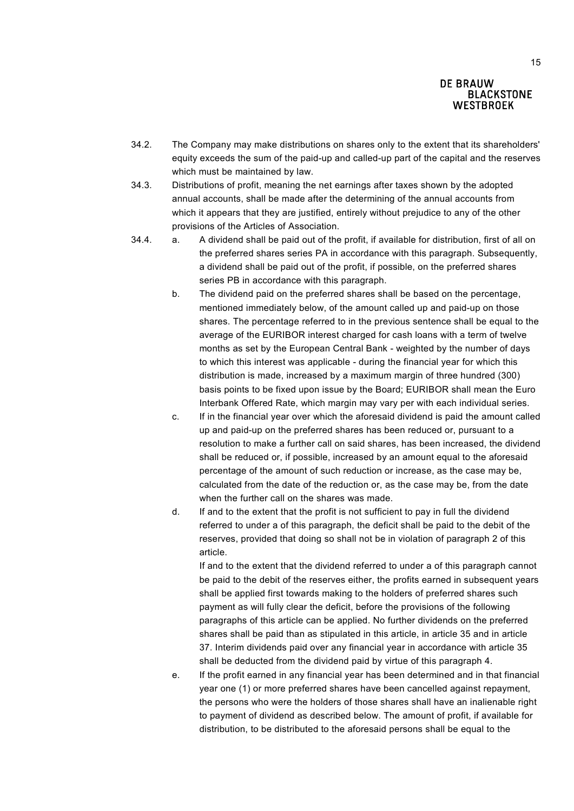- 34.2. The Company may make distributions on shares only to the extent that its shareholders' equity exceeds the sum of the paid-up and called-up part of the capital and the reserves which must be maintained by law.
- 34.3. Distributions of profit, meaning the net earnings after taxes shown by the adopted annual accounts, shall be made after the determining of the annual accounts from which it appears that they are justified, entirely without prejudice to any of the other provisions of the Articles of Association.
- 34.4. a. A dividend shall be paid out of the profit, if available for distribution, first of all on the preferred shares series PA in accordance with this paragraph. Subsequently, a dividend shall be paid out of the profit, if possible, on the preferred shares series PB in accordance with this paragraph.
	- b. The dividend paid on the preferred shares shall be based on the percentage, mentioned immediately below, of the amount called up and paid-up on those shares. The percentage referred to in the previous sentence shall be equal to the average of the EURIBOR interest charged for cash loans with a term of twelve months as set by the European Central Bank - weighted by the number of days to which this interest was applicable - during the financial year for which this distribution is made, increased by a maximum margin of three hundred (300) basis points to be fixed upon issue by the Board; EURIBOR shall mean the Euro Interbank Offered Rate, which margin may vary per with each individual series.
	- c. If in the financial year over which the aforesaid dividend is paid the amount called up and paid-up on the preferred shares has been reduced or, pursuant to a resolution to make a further call on said shares, has been increased, the dividend shall be reduced or, if possible, increased by an amount equal to the aforesaid percentage of the amount of such reduction or increase, as the case may be, calculated from the date of the reduction or, as the case may be, from the date when the further call on the shares was made.
	- d. If and to the extent that the profit is not sufficient to pay in full the dividend referred to under a of this paragraph, the deficit shall be paid to the debit of the reserves, provided that doing so shall not be in violation of paragraph 2 of this article.

If and to the extent that the dividend referred to under a of this paragraph cannot be paid to the debit of the reserves either, the profits earned in subsequent years shall be applied first towards making to the holders of preferred shares such payment as will fully clear the deficit, before the provisions of the following paragraphs of this article can be applied. No further dividends on the preferred shares shall be paid than as stipulated in this article, in article 35 and in article 37. Interim dividends paid over any financial year in accordance with article 35 shall be deducted from the dividend paid by virtue of this paragraph 4.

e. If the profit earned in any financial year has been determined and in that financial year one (1) or more preferred shares have been cancelled against repayment, the persons who were the holders of those shares shall have an inalienable right to payment of dividend as described below. The amount of profit, if available for distribution, to be distributed to the aforesaid persons shall be equal to the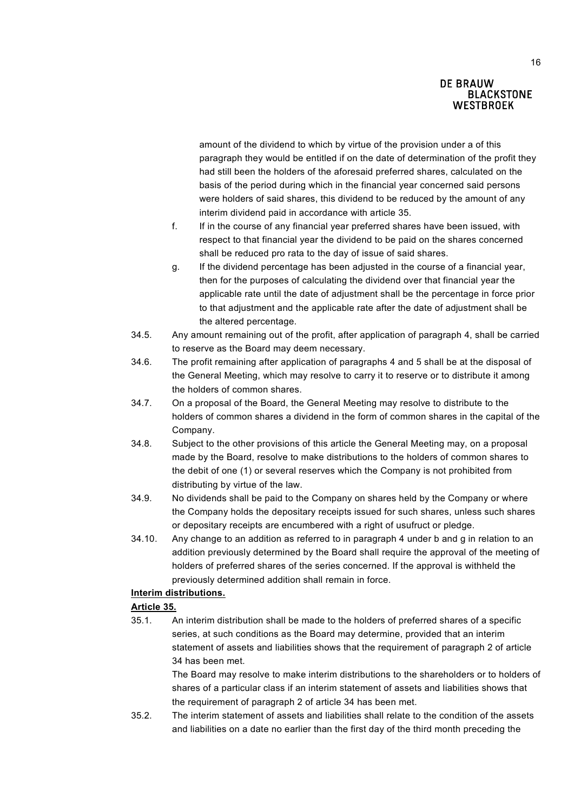amount of the dividend to which by virtue of the provision under a of this paragraph they would be entitled if on the date of determination of the profit they had still been the holders of the aforesaid preferred shares, calculated on the basis of the period during which in the financial year concerned said persons were holders of said shares, this dividend to be reduced by the amount of any interim dividend paid in accordance with article 35.

- f. If in the course of any financial year preferred shares have been issued, with respect to that financial year the dividend to be paid on the shares concerned shall be reduced pro rata to the day of issue of said shares.
- g. If the dividend percentage has been adjusted in the course of a financial year, then for the purposes of calculating the dividend over that financial year the applicable rate until the date of adjustment shall be the percentage in force prior to that adjustment and the applicable rate after the date of adjustment shall be the altered percentage.
- 34.5. Any amount remaining out of the profit, after application of paragraph 4, shall be carried to reserve as the Board may deem necessary.
- 34.6. The profit remaining after application of paragraphs 4 and 5 shall be at the disposal of the General Meeting, which may resolve to carry it to reserve or to distribute it among the holders of common shares.
- 34.7. On a proposal of the Board, the General Meeting may resolve to distribute to the holders of common shares a dividend in the form of common shares in the capital of the Company.
- 34.8. Subject to the other provisions of this article the General Meeting may, on a proposal made by the Board, resolve to make distributions to the holders of common shares to the debit of one (1) or several reserves which the Company is not prohibited from distributing by virtue of the law.
- 34.9. No dividends shall be paid to the Company on shares held by the Company or where the Company holds the depositary receipts issued for such shares, unless such shares or depositary receipts are encumbered with a right of usufruct or pledge.
- 34.10. Any change to an addition as referred to in paragraph 4 under b and g in relation to an addition previously determined by the Board shall require the approval of the meeting of holders of preferred shares of the series concerned. If the approval is withheld the previously determined addition shall remain in force.

# **Interim distributions.**

### **Article 35.**

35.1. An interim distribution shall be made to the holders of preferred shares of a specific series, at such conditions as the Board may determine, provided that an interim statement of assets and liabilities shows that the requirement of paragraph 2 of article 34 has been met.

> The Board may resolve to make interim distributions to the shareholders or to holders of shares of a particular class if an interim statement of assets and liabilities shows that the requirement of paragraph 2 of article 34 has been met.

35.2. The interim statement of assets and liabilities shall relate to the condition of the assets and liabilities on a date no earlier than the first day of the third month preceding the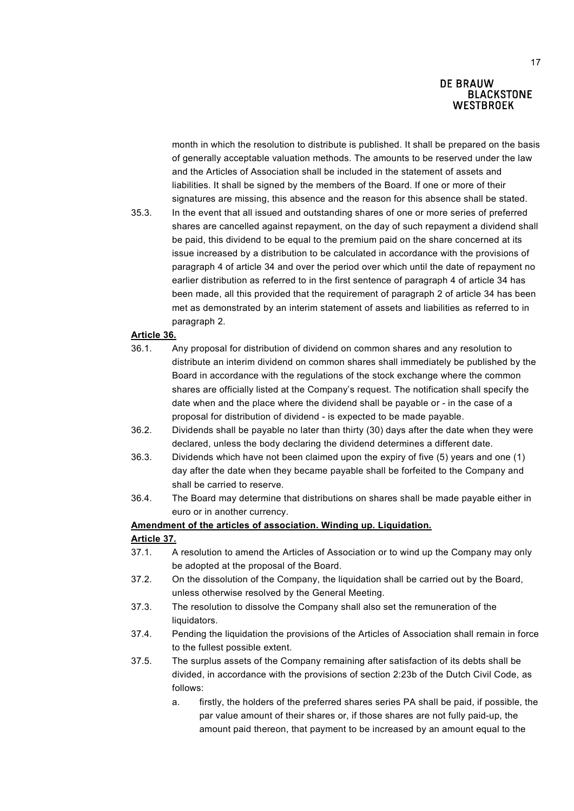month in which the resolution to distribute is published. It shall be prepared on the basis of generally acceptable valuation methods. The amounts to be reserved under the law and the Articles of Association shall be included in the statement of assets and liabilities. It shall be signed by the members of the Board. If one or more of their signatures are missing, this absence and the reason for this absence shall be stated.

35.3. In the event that all issued and outstanding shares of one or more series of preferred shares are cancelled against repayment, on the day of such repayment a dividend shall be paid, this dividend to be equal to the premium paid on the share concerned at its issue increased by a distribution to be calculated in accordance with the provisions of paragraph 4 of article 34 and over the period over which until the date of repayment no earlier distribution as referred to in the first sentence of paragraph 4 of article 34 has been made, all this provided that the requirement of paragraph 2 of article 34 has been met as demonstrated by an interim statement of assets and liabilities as referred to in paragraph 2.

#### **Article 36.**

- 36.1. Any proposal for distribution of dividend on common shares and any resolution to distribute an interim dividend on common shares shall immediately be published by the Board in accordance with the regulations of the stock exchange where the common shares are officially listed at the Company's request. The notification shall specify the date when and the place where the dividend shall be payable or - in the case of a proposal for distribution of dividend - is expected to be made payable.
- 36.2. Dividends shall be payable no later than thirty (30) days after the date when they were declared, unless the body declaring the dividend determines a different date.
- 36.3. Dividends which have not been claimed upon the expiry of five (5) years and one (1) day after the date when they became payable shall be forfeited to the Company and shall be carried to reserve.
- 36.4. The Board may determine that distributions on shares shall be made payable either in euro or in another currency.

### **Amendment of the articles of association. Winding up. Liquidation.**

#### **Article 37.**

- 37.1. A resolution to amend the Articles of Association or to wind up the Company may only be adopted at the proposal of the Board.
- 37.2. On the dissolution of the Company, the liquidation shall be carried out by the Board, unless otherwise resolved by the General Meeting.
- 37.3. The resolution to dissolve the Company shall also set the remuneration of the liquidators.
- 37.4. Pending the liquidation the provisions of the Articles of Association shall remain in force to the fullest possible extent.
- 37.5. The surplus assets of the Company remaining after satisfaction of its debts shall be divided, in accordance with the provisions of section 2:23b of the Dutch Civil Code, as follows:
	- a. firstly, the holders of the preferred shares series PA shall be paid, if possible, the par value amount of their shares or, if those shares are not fully paid-up, the amount paid thereon, that payment to be increased by an amount equal to the